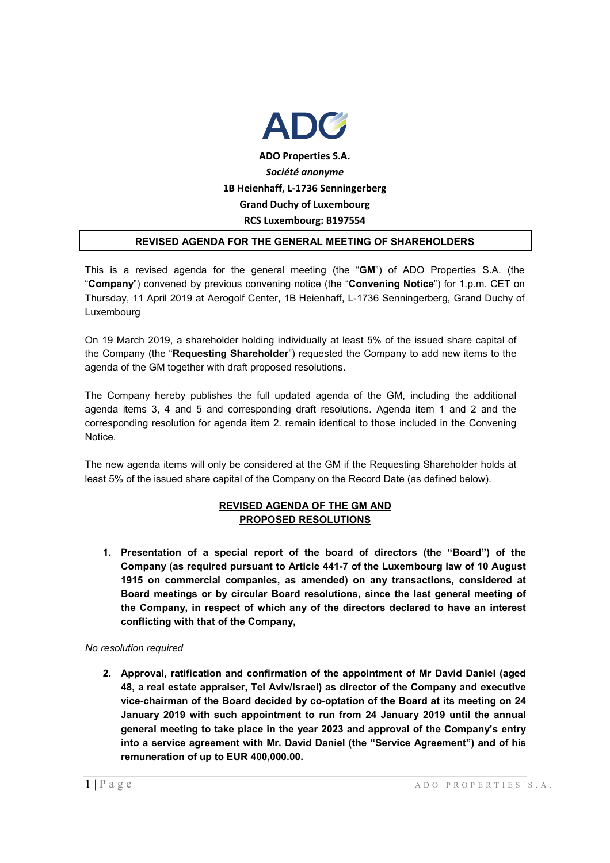

### **REVISED AGENDA FOR THE GENERAL MEETING OF SHAREHOLDERS**

This is a revised agenda for the general meeting (the "**GM**") of ADO Properties S.A. (the "**Company**") convened by previous convening notice (the "**Convening Notice**") for 1.p.m. CET on Thursday, 11 April 2019 at Aerogolf Center, 1B Heienhaff, L-1736 Senningerberg, Grand Duchy of Luxembourg

On 19 March 2019, a shareholder holding individually at least 5% of the issued share capital of the Company (the "**Requesting Shareholder**") requested the Company to add new items to the agenda of the GM together with draft proposed resolutions.

The Company hereby publishes the full updated agenda of the GM, including the additional agenda items 3, 4 and 5 and corresponding draft resolutions. Agenda item 1 and 2 and the corresponding resolution for agenda item 2. remain identical to those included in the Convening Notice.

The new agenda items will only be considered at the GM if the Requesting Shareholder holds at least 5% of the issued share capital of the Company on the Record Date (as defined below).

# **REVISED AGENDA OF THE GM AND PROPOSED RESOLUTIONS**

**1. Presentation of a special report of the board of directors (the "Board") of the Company (as required pursuant to Article 441-7 of the Luxembourg law of 10 August 1915 on commercial companies, as amended) on any transactions, considered at Board meetings or by circular Board resolutions, since the last general meeting of the Company, in respect of which any of the directors declared to have an interest conflicting with that of the Company,** 

#### *No resolution required*

**2. Approval, ratification and confirmation of the appointment of Mr David Daniel (aged 48, a real estate appraiser, Tel Aviv/Israel) as director of the Company and executive vice-chairman of the Board decided by co-optation of the Board at its meeting on 24 January 2019 with such appointment to run from 24 January 2019 until the annual general meeting to take place in the year 2023 and approval of the Company's entry into a service agreement with Mr. David Daniel (the "Service Agreement") and of his remuneration of up to EUR 400,000.00.**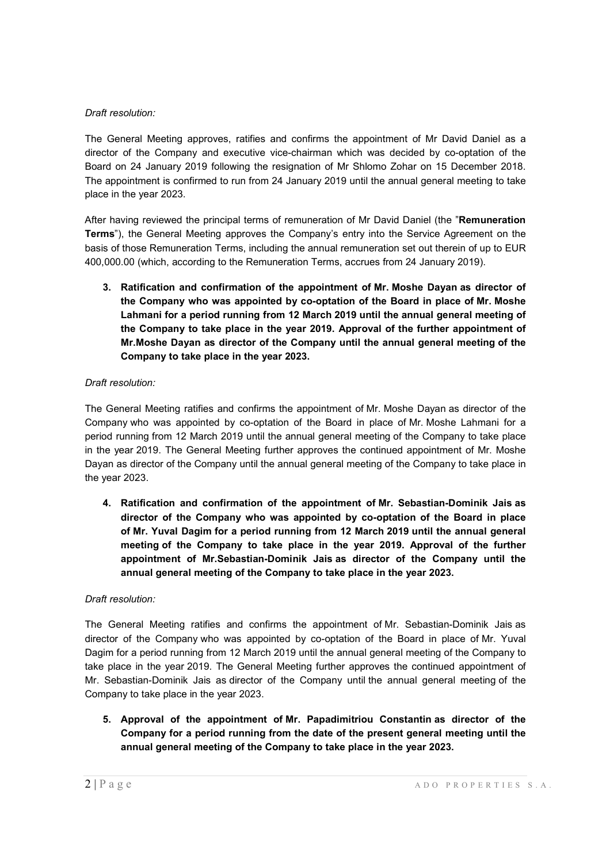### *Draft resolution:*

The General Meeting approves, ratifies and confirms the appointment of Mr David Daniel as a director of the Company and executive vice-chairman which was decided by co-optation of the Board on 24 January 2019 following the resignation of Mr Shlomo Zohar on 15 December 2018. The appointment is confirmed to run from 24 January 2019 until the annual general meeting to take place in the year 2023.

After having reviewed the principal terms of remuneration of Mr David Daniel (the "**Remuneration Terms**"), the General Meeting approves the Company's entry into the Service Agreement on the basis of those Remuneration Terms, including the annual remuneration set out therein of up to EUR 400,000.00 (which, according to the Remuneration Terms, accrues from 24 January 2019).

**3. Ratification and confirmation of the appointment of Mr. Moshe Dayan as director of the Company who was appointed by co-optation of the Board in place of Mr. Moshe Lahmani for a period running from 12 March 2019 until the annual general meeting of the Company to take place in the year 2019. Approval of the further appointment of Mr.Moshe Dayan as director of the Company until the annual general meeting of the Company to take place in the year 2023.** 

# *Draft resolution:*

The General Meeting ratifies and confirms the appointment of Mr. Moshe Dayan as director of the Company who was appointed by co-optation of the Board in place of Mr. Moshe Lahmani for a period running from 12 March 2019 until the annual general meeting of the Company to take place in the year 2019. The General Meeting further approves the continued appointment of Mr. Moshe Dayan as director of the Company until the annual general meeting of the Company to take place in the year 2023.

**4. Ratification and confirmation of the appointment of Mr. Sebastian-Dominik Jais as director of the Company who was appointed by co-optation of the Board in place of Mr. Yuval Dagim for a period running from 12 March 2019 until the annual general meeting of the Company to take place in the year 2019. Approval of the further appointment of Mr.Sebastian-Dominik Jais as director of the Company until the annual general meeting of the Company to take place in the year 2023.** 

### *Draft resolution:*

The General Meeting ratifies and confirms the appointment of Mr. Sebastian-Dominik Jais as director of the Company who was appointed by co-optation of the Board in place of Mr. Yuval Dagim for a period running from 12 March 2019 until the annual general meeting of the Company to take place in the year 2019. The General Meeting further approves the continued appointment of Mr. Sebastian-Dominik Jais as director of the Company until the annual general meeting of the Company to take place in the year 2023.

**5. Approval of the appointment of Mr. Papadimitriou Constantin as director of the Company for a period running from the date of the present general meeting until the annual general meeting of the Company to take place in the year 2023.**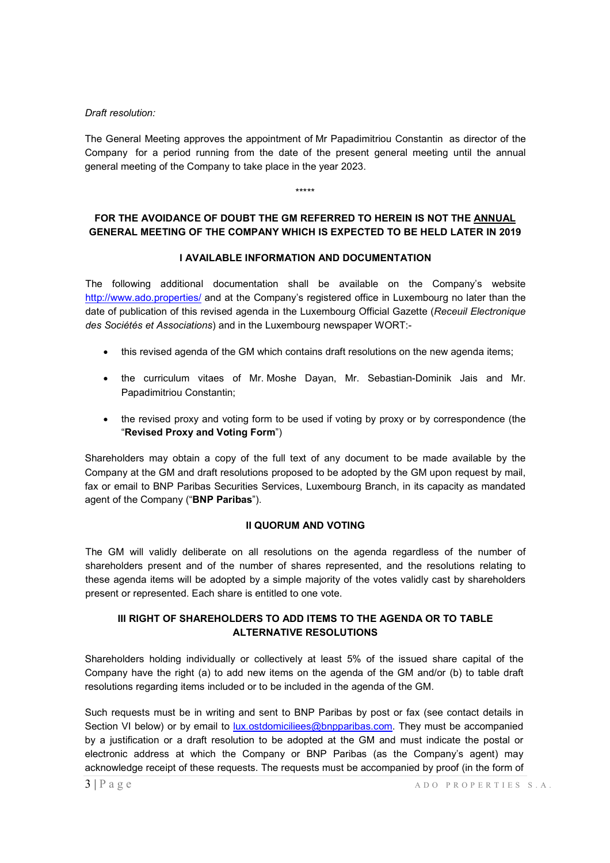### *Draft resolution:*

The General Meeting approves the appointment of Mr Papadimitriou Constantin as director of the Company for a period running from the date of the present general meeting until the annual general meeting of the Company to take place in the year 2023.

\*\*\*\*\*

# **FOR THE AVOIDANCE OF DOUBT THE GM REFERRED TO HEREIN IS NOT THE ANNUAL GENERAL MEETING OF THE COMPANY WHICH IS EXPECTED TO BE HELD LATER IN 2019**

# **I AVAILABLE INFORMATION AND DOCUMENTATION**

The following additional documentation shall be available on the Company's website http://www.ado.properties/ and at the Company's registered office in Luxembourg no later than the date of publication of this revised agenda in the Luxembourg Official Gazette (*Receuil Electronique des Sociétés et Associations*) and in the Luxembourg newspaper WORT:-

- this revised agenda of the GM which contains draft resolutions on the new agenda items;
- the curriculum vitaes of Mr. Moshe Dayan, Mr. Sebastian-Dominik Jais and Mr. Papadimitriou Constantin;
- the revised proxy and voting form to be used if voting by proxy or by correspondence (the "**Revised Proxy and Voting Form**")

Shareholders may obtain a copy of the full text of any document to be made available by the Company at the GM and draft resolutions proposed to be adopted by the GM upon request by mail, fax or email to BNP Paribas Securities Services, Luxembourg Branch, in its capacity as mandated agent of the Company ("**BNP Paribas**").

### **II QUORUM AND VOTING**

The GM will validly deliberate on all resolutions on the agenda regardless of the number of shareholders present and of the number of shares represented, and the resolutions relating to these agenda items will be adopted by a simple majority of the votes validly cast by shareholders present or represented. Each share is entitled to one vote.

# **III RIGHT OF SHAREHOLDERS TO ADD ITEMS TO THE AGENDA OR TO TABLE ALTERNATIVE RESOLUTIONS**

Shareholders holding individually or collectively at least 5% of the issued share capital of the Company have the right (a) to add new items on the agenda of the GM and/or (b) to table draft resolutions regarding items included or to be included in the agenda of the GM.

Such requests must be in writing and sent to BNP Paribas by post or fax (see contact details in Section VI below) or by email to lux.ostdomiciliees@bnpparibas.com. They must be accompanied by a justification or a draft resolution to be adopted at the GM and must indicate the postal or electronic address at which the Company or BNP Paribas (as the Company's agent) may acknowledge receipt of these requests. The requests must be accompanied by proof (in the form of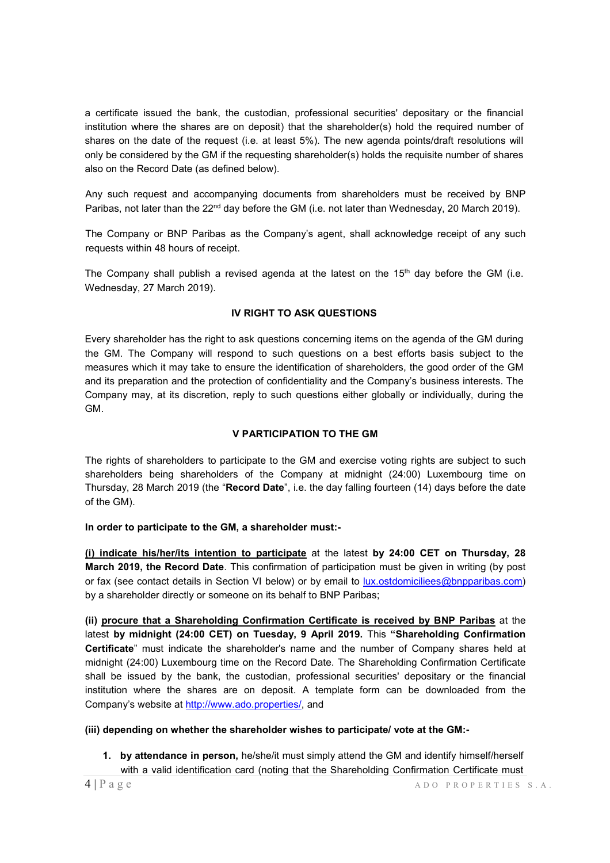a certificate issued the bank, the custodian, professional securities' depositary or the financial institution where the shares are on deposit) that the shareholder(s) hold the required number of shares on the date of the request (i.e. at least 5%). The new agenda points/draft resolutions will only be considered by the GM if the requesting shareholder(s) holds the requisite number of shares also on the Record Date (as defined below).

Any such request and accompanying documents from shareholders must be received by BNP Paribas, not later than the 22<sup>nd</sup> day before the GM (i.e. not later than Wednesday, 20 March 2019).

The Company or BNP Paribas as the Company's agent, shall acknowledge receipt of any such requests within 48 hours of receipt.

The Company shall publish a revised agenda at the latest on the  $15<sup>th</sup>$  day before the GM (i.e. Wednesday, 27 March 2019).

### **IV RIGHT TO ASK QUESTIONS**

Every shareholder has the right to ask questions concerning items on the agenda of the GM during the GM. The Company will respond to such questions on a best efforts basis subject to the measures which it may take to ensure the identification of shareholders, the good order of the GM and its preparation and the protection of confidentiality and the Company's business interests. The Company may, at its discretion, reply to such questions either globally or individually, during the GM.

### **V PARTICIPATION TO THE GM**

The rights of shareholders to participate to the GM and exercise voting rights are subject to such shareholders being shareholders of the Company at midnight (24:00) Luxembourg time on Thursday, 28 March 2019 (the "**Record Date**", i.e. the day falling fourteen (14) days before the date of the GM).

#### **In order to participate to the GM, a shareholder must:-**

**(i) indicate his/her/its intention to participate** at the latest **by 24:00 CET on Thursday, 28 March 2019, the Record Date**. This confirmation of participation must be given in writing (by post or fax (see contact details in Section VI below) or by email to lux.ostdomiciliees@bnpparibas.com) by a shareholder directly or someone on its behalf to BNP Paribas;

**(ii) procure that a Shareholding Confirmation Certificate is received by BNP Paribas** at the latest **by midnight (24:00 CET) on Tuesday, 9 April 2019.** This **"Shareholding Confirmation Certificate**" must indicate the shareholder's name and the number of Company shares held at midnight (24:00) Luxembourg time on the Record Date. The Shareholding Confirmation Certificate shall be issued by the bank, the custodian, professional securities' depositary or the financial institution where the shares are on deposit. A template form can be downloaded from the Company's website at http://www.ado.properties/, and

#### **(iii) depending on whether the shareholder wishes to participate/ vote at the GM:-**

**1. by attendance in person,** he/she/it must simply attend the GM and identify himself/herself with a valid identification card (noting that the Shareholding Confirmation Certificate must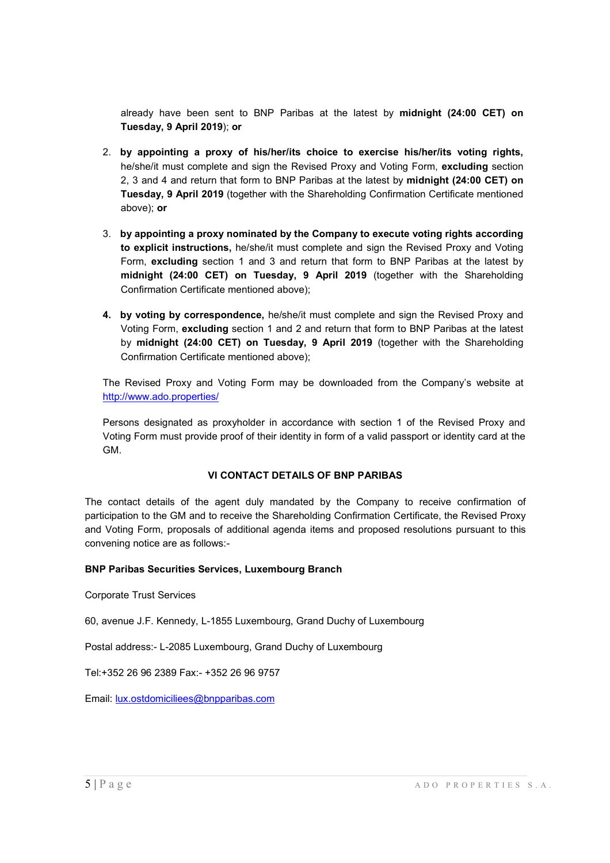already have been sent to BNP Paribas at the latest by **midnight (24:00 CET) on Tuesday, 9 April 2019**); **or** 

- 2. **by appointing a proxy of his/her/its choice to exercise his/her/its voting rights,**  he/she/it must complete and sign the Revised Proxy and Voting Form, **excluding** section 2, 3 and 4 and return that form to BNP Paribas at the latest by **midnight (24:00 CET) on Tuesday, 9 April 2019** (together with the Shareholding Confirmation Certificate mentioned above); **or**
- 3. **by appointing a proxy nominated by the Company to execute voting rights according to explicit instructions,** he/she/it must complete and sign the Revised Proxy and Voting Form, **excluding** section 1 and 3 and return that form to BNP Paribas at the latest by **midnight (24:00 CET) on Tuesday, 9 April 2019** (together with the Shareholding Confirmation Certificate mentioned above);
- **4. by voting by correspondence,** he/she/it must complete and sign the Revised Proxy and Voting Form, **excluding** section 1 and 2 and return that form to BNP Paribas at the latest by **midnight (24:00 CET) on Tuesday, 9 April 2019** (together with the Shareholding Confirmation Certificate mentioned above);

The Revised Proxy and Voting Form may be downloaded from the Company's website at http://www.ado.properties/

Persons designated as proxyholder in accordance with section 1 of the Revised Proxy and Voting Form must provide proof of their identity in form of a valid passport or identity card at the GM.

# **VI CONTACT DETAILS OF BNP PARIBAS**

The contact details of the agent duly mandated by the Company to receive confirmation of participation to the GM and to receive the Shareholding Confirmation Certificate, the Revised Proxy and Voting Form, proposals of additional agenda items and proposed resolutions pursuant to this convening notice are as follows:-

### **BNP Paribas Securities Services, Luxembourg Branch**

Corporate Trust Services

60, avenue J.F. Kennedy, L-1855 Luxembourg, Grand Duchy of Luxembourg

Postal address:- L-2085 Luxembourg, Grand Duchy of Luxembourg

Tel:+352 26 96 2389 Fax:- +352 26 96 9757

Email: lux.ostdomiciliees@bnpparibas.com